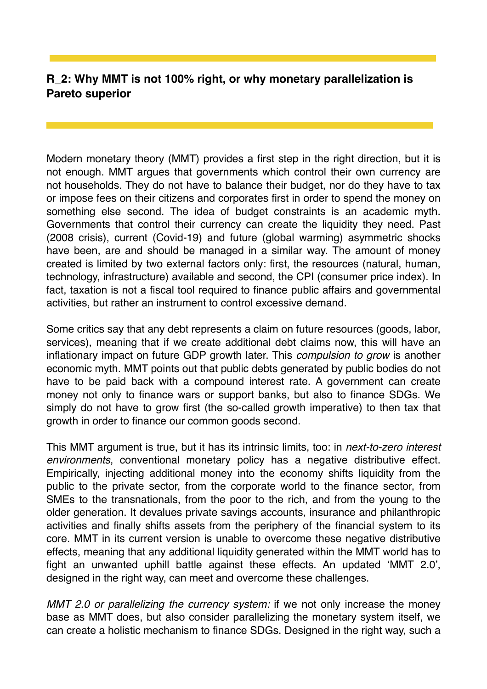## **R\_2: Why MMT is not 100% right, or why monetary parallelization is Pareto superior**

Modern monetary theory (MMT) provides a first step in the right direction, but it is not enough. MMT argues that governments which control their own currency are not households. They do not have to balance their budget, nor do they have to tax or impose fees on their citizens and corporates first in order to spend the money on something else second. The idea of budget constraints is an academic myth. Governments that control their currency can create the liquidity they need. Past (2008 crisis), current (Covid-19) and future (global warming) asymmetric shocks have been, are and should be managed in a similar way. The amount of money created is limited by two external factors only: first, the resources (natural, human, technology, infrastructure) available and second, the CPI (consumer price index). In fact, taxation is not a fiscal tool required to finance public affairs and governmental activities, but rather an instrument to control excessive demand.

Some critics say that any debt represents a claim on future resources (goods, labor, services), meaning that if we create additional debt claims now, this will have an inflationary impact on future GDP growth later. This *compulsion to grow* is another economic myth. MMT points out that public debts generated by public bodies do not have to be paid back with a compound interest rate. A government can create money not only to finance wars or support banks, but also to finance SDGs. We simply do not have to grow first (the so-called growth imperative) to then tax that growth in order to finance our common goods second.

This MMT argument is true, but it has its intrinsic limits, too: in *next-to-zero interest environments*, conventional monetary policy has a negative distributive effect. Empirically, injecting additional money into the economy shifts liquidity from the public to the private sector, from the corporate world to the finance sector, from SMEs to the transnationals, from the poor to the rich, and from the young to the older generation. It devalues private savings accounts, insurance and philanthropic activities and finally shifts assets from the periphery of the financial system to its core. MMT in its current version is unable to overcome these negative distributive effects, meaning that any additional liquidity generated within the MMT world has to fight an unwanted uphill battle against these effects. An updated 'MMT 2.0', designed in the right way, can meet and overcome these challenges.

*MMT 2.0 or parallelizing the currency system:* if we not only increase the money base as MMT does, but also consider parallelizing the monetary system itself, we can create a holistic mechanism to finance SDGs. Designed in the right way, such a